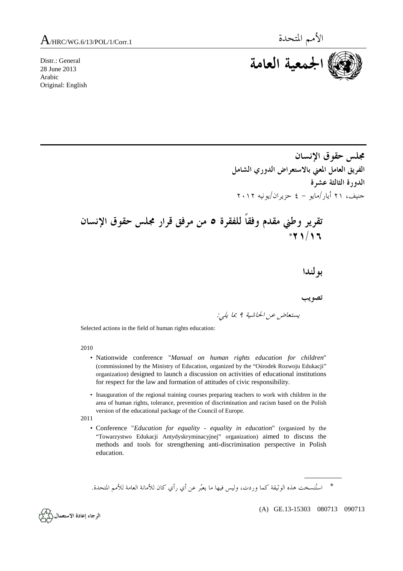Distr.: General 28 June 2013 Arabic Original: English



**مجلس حقوق الإنسان الفريق العامل المعني بالاستعراض الدوري الشامل الدورة الثالثة عشرة**  جنيف، ٢١ أيار/مايو - ٤ حزيران/يونيه ٢٠١٢

 **تقرير وطني مقدم وفقاً للفقرة ٥ من مرفق قرار مجلس حقوق الإنسان \*٢١/١٦**

 **بولندا** 

 **تصويب**  يستعاض عن الحاشية <sup>٩</sup> بما يلي:

Selected actions in the field of human rights education:

2010

- Nationwide conference "*Manual on human rights education for children*" (commissioned by the Ministry of Education, organized by the "Ośrodek Rozwoju Edukacji" organization) designed to launch a discussion on activities of educational institutions for respect for the law and formation of attitudes of civic responsibility.
- Inauguration of the regional training courses preparing teachers to work with children in the area of human rights, tolerance, prevention of discrimination and racism based on the Polish version of the educational package of the Council of Europe.

2011

• Conference "*Education for equality - equality in education*" (organized by the "Towarzystwo Edukacji Antydyskryminacyjnej" organization) aimed to discuss the methods and tools for strengthening anti-discrimination perspective in Polish education.

\* استُنسخت هذه الوثيقة كما وردت، وليس فيها ما يعبّر عن أي رأي كان للأمانة العامة للأمم المتحدة.



 $\overline{\phantom{a}}$